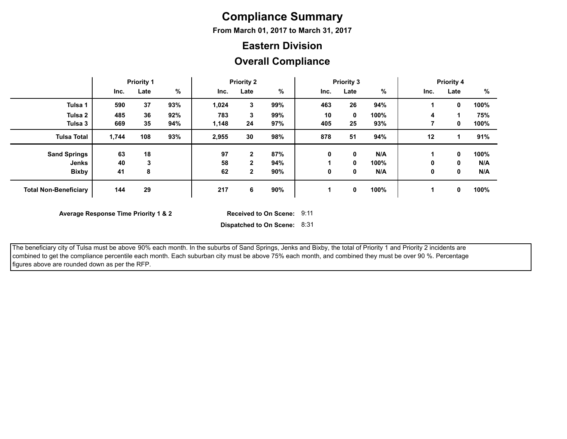## **Compliance Summary**

**From March 01, 2017 to March 31, 2017**

#### **Eastern Division**

#### **Overall Compliance**

|                              | <b>Priority 1</b> |      |      | <b>Priority 2</b> |              |     | <b>Priority 3</b> |             |      | <b>Priority 4</b> |      |      |
|------------------------------|-------------------|------|------|-------------------|--------------|-----|-------------------|-------------|------|-------------------|------|------|
|                              | Inc.              | Late | $\%$ | Inc.              | Late         | %   | Inc.              | Late        | %    | Inc.              | Late | %    |
| Tulsa 1                      | 590               | 37   | 93%  | 1,024             | 3            | 99% | 463               | 26          | 94%  |                   | 0    | 100% |
| Tulsa 2                      | 485               | 36   | 92%  | 783               | 3            | 99% | 10                | $\mathbf 0$ | 100% | 4                 |      | 75%  |
| Tulsa 3                      | 669               | 35   | 94%  | 1,148             | 24           | 97% | 405               | 25          | 93%  |                   | 0    | 100% |
| <b>Tulsa Total</b>           | 1,744             | 108  | 93%  | 2,955             | 30           | 98% | 878               | 51          | 94%  | 12                |      | 91%  |
| <b>Sand Springs</b>          | 63                | 18   |      | 97                | $\mathbf{2}$ | 87% | 0                 | 0           | N/A  |                   | 0    | 100% |
| Jenks                        | 40                | 3    |      | 58                | $\mathbf{2}$ | 94% |                   | 0           | 100% | 0                 | 0    | N/A  |
| <b>Bixby</b>                 | 41                | 8    |      | 62                | $\mathbf{2}$ | 90% | 0                 | 0           | N/A  | 0                 | 0    | N/A  |
| <b>Total Non-Beneficiary</b> | 144               | 29   |      | 217               | 6            | 90% |                   | $\mathbf 0$ | 100% |                   | 0    | 100% |

**Average Response Time Priority 1 & 2** 

Received to On Scene: 9:11

**Dispatched to On Scene:** 8:31

 The beneficiary city of Tulsa must be above 90% each month. In the suburbs of Sand Springs, Jenks and Bixby, the total of Priority 1 and Priority 2 incidents are combined to get the compliance percentile each month. Each suburban city must be above 75% each month, and combined they must be over 90 %. Percentage figures above are rounded down as per the RFP.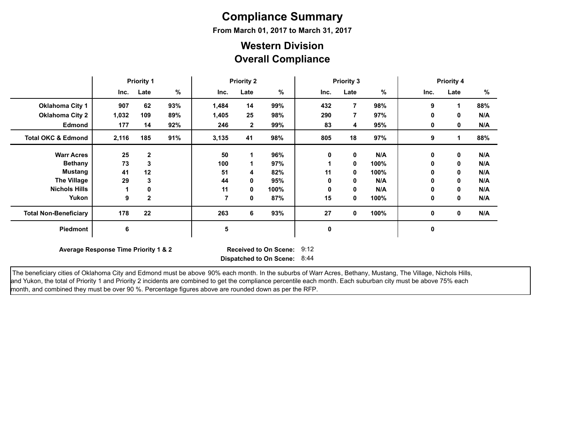# **Compliance Summary**

**From March 01, 2017 to March 31, 2017**

### **Overall Compliance Western Division**

|                               | <b>Priority 1</b>                                                                                            |              |     | <b>Priority 2</b> |              |      | <b>Priority 3</b> |                |      | <b>Priority 4</b> |             |     |
|-------------------------------|--------------------------------------------------------------------------------------------------------------|--------------|-----|-------------------|--------------|------|-------------------|----------------|------|-------------------|-------------|-----|
|                               | Inc.                                                                                                         | Late         | %   | Inc.              | Late         | %    | Inc.              | Late           | %    | Inc.              | Late        | %   |
| <b>Oklahoma City 1</b>        | 907                                                                                                          | 62           | 93% | 1,484             | 14           | 99%  | 432               | $\overline{7}$ | 98%  | 9                 |             | 88% |
| <b>Oklahoma City 2</b>        | 1,032                                                                                                        | 109          | 89% | 1,405             | 25           | 98%  | 290               | $\overline{7}$ | 97%  | 0                 | $\mathbf 0$ | N/A |
| <b>Edmond</b>                 | 177                                                                                                          | 14           | 92% | 246               | $\mathbf{2}$ | 99%  | 83                | 4              | 95%  | 0                 | 0           | N/A |
| <b>Total OKC &amp; Edmond</b> | 2,116                                                                                                        | 185          | 91% | 3,135             | 41           | 98%  | 805               | 18             | 97%  | 9                 |             | 88% |
| <b>Warr Acres</b>             | 25                                                                                                           | $\mathbf{2}$ |     | 50                |              | 96%  | 0                 | 0              | N/A  | 0                 | 0           | N/A |
| <b>Bethany</b>                | 73                                                                                                           | 3            |     | 100               |              | 97%  |                   | $\mathbf 0$    | 100% | 0                 | 0           | N/A |
| <b>Mustang</b>                | 41                                                                                                           | 12           |     | 51                | 4            | 82%  | 11                | 0              | 100% | 0                 | 0           | N/A |
| <b>The Village</b>            | 29                                                                                                           | 3            |     | 44                | 0            | 95%  | 0                 | 0              | N/A  | 0                 | 0           | N/A |
| <b>Nichols Hills</b>          | 1                                                                                                            | 0            |     | 11                | 0            | 100% | 0                 | $\mathbf 0$    | N/A  | 0                 | 0           | N/A |
| Yukon                         | 9                                                                                                            | $\mathbf{2}$ |     | $\overline{7}$    | 0            | 87%  | 15                | $\mathbf 0$    | 100% | 0                 | 0           | N/A |
| <b>Total Non-Beneficiary</b>  | 178                                                                                                          | 22           |     | 263               | 6            | 93%  | 27                | $\mathbf 0$    | 100% | 0                 | 0           | N/A |
| Piedmont                      | 6                                                                                                            |              |     | 5                 |              |      | 0                 |                |      | 0                 |             |     |
|                               | 9:12<br>Average Response Time Priority 1 & 2<br><b>Received to On Scene:</b><br>Dispatched to On Scene: 8:44 |              |     |                   |              |      |                   |                |      |                   |             |     |

The beneficiary cities of Oklahoma City and Edmond must be above 90% each month. In the suburbs of Warr Acres, Bethany, Mustang, The Village, Nichols Hills, and Yukon, the total of Priority 1 and Priority 2 incidents are combined to get the compliance percentile each month. Each suburban city must be above 75% each month, and combined they must be over 90 %. Percentage figures above are rounded down as per the RFP.